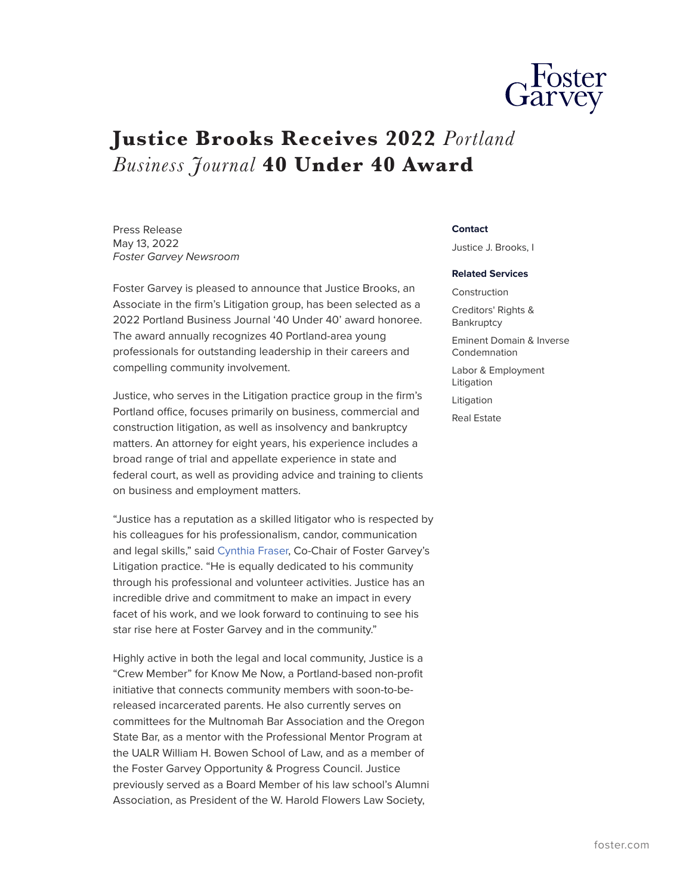

## **Justice Brooks Receives 2022** *Portland Business Journal* **40 Under 40 Award**

Press Release May 13, 2022 *Foster Garvey Newsroom*

Foster Garvey is pleased to announce that Justice Brooks, an Associate in the firm's Litigation group, has been selected as a 2022 Portland Business Journal '40 Under 40' award honoree. The award annually recognizes 40 Portland-area young professionals for outstanding leadership in their careers and compelling community involvement.

Justice, who serves in the Litigation practice group in the firm's Portland office, focuses primarily on business, commercial and construction litigation, as well as insolvency and bankruptcy matters. An attorney for eight years, his experience includes a broad range of trial and appellate experience in state and federal court, as well as providing advice and training to clients on business and employment matters.

"Justice has a reputation as a skilled litigator who is respected by his colleagues for his professionalism, candor, communication and legal skills," said [Cynthia Fraser,](https://www.foster.com/people-cynthia-fraser) Co-Chair of Foster Garvey's Litigation practice. "He is equally dedicated to his community through his professional and volunteer activities. Justice has an incredible drive and commitment to make an impact in every facet of his work, and we look forward to continuing to see his star rise here at Foster Garvey and in the community."

Highly active in both the legal and local community, Justice is a "Crew Member" for Know Me Now, a Portland-based non-profit initiative that connects community members with soon-to-bereleased incarcerated parents. He also currently serves on committees for the Multnomah Bar Association and the Oregon State Bar, as a mentor with the Professional Mentor Program at the UALR William H. Bowen School of Law, and as a member of the Foster Garvey Opportunity & Progress Council. Justice previously served as a Board Member of his law school's Alumni Association, as President of the W. Harold Flowers Law Society,

## **Contact**

Justice J. Brooks, I

## **Related Services**

Construction Creditors' Rights & Bankruptcy

Eminent Domain & Inverse Condemnation

Labor & Employment Litigation

Litigation

Real Estate